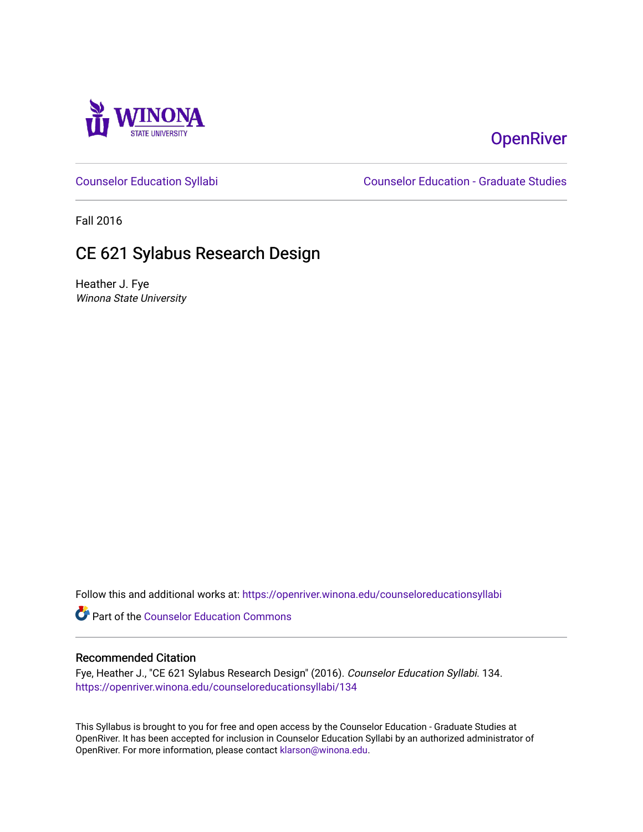

# **OpenRiver**

[Counselor Education Syllabi](https://openriver.winona.edu/counseloreducationsyllabi) [Counselor Education - Graduate Studies](https://openriver.winona.edu/counseloreducation) 

Fall 2016

# CE 621 Sylabus Research Design

Heather J. Fye Winona State University

Follow this and additional works at: [https://openriver.winona.edu/counseloreducationsyllabi](https://openriver.winona.edu/counseloreducationsyllabi?utm_source=openriver.winona.edu%2Fcounseloreducationsyllabi%2F134&utm_medium=PDF&utm_campaign=PDFCoverPages)

Part of the [Counselor Education Commons](http://network.bepress.com/hgg/discipline/1278?utm_source=openriver.winona.edu%2Fcounseloreducationsyllabi%2F134&utm_medium=PDF&utm_campaign=PDFCoverPages) 

#### Recommended Citation

Fye, Heather J., "CE 621 Sylabus Research Design" (2016). Counselor Education Syllabi. 134. [https://openriver.winona.edu/counseloreducationsyllabi/134](https://openriver.winona.edu/counseloreducationsyllabi/134?utm_source=openriver.winona.edu%2Fcounseloreducationsyllabi%2F134&utm_medium=PDF&utm_campaign=PDFCoverPages)

This Syllabus is brought to you for free and open access by the Counselor Education - Graduate Studies at OpenRiver. It has been accepted for inclusion in Counselor Education Syllabi by an authorized administrator of OpenRiver. For more information, please contact [klarson@winona.edu](mailto:klarson@winona.edu).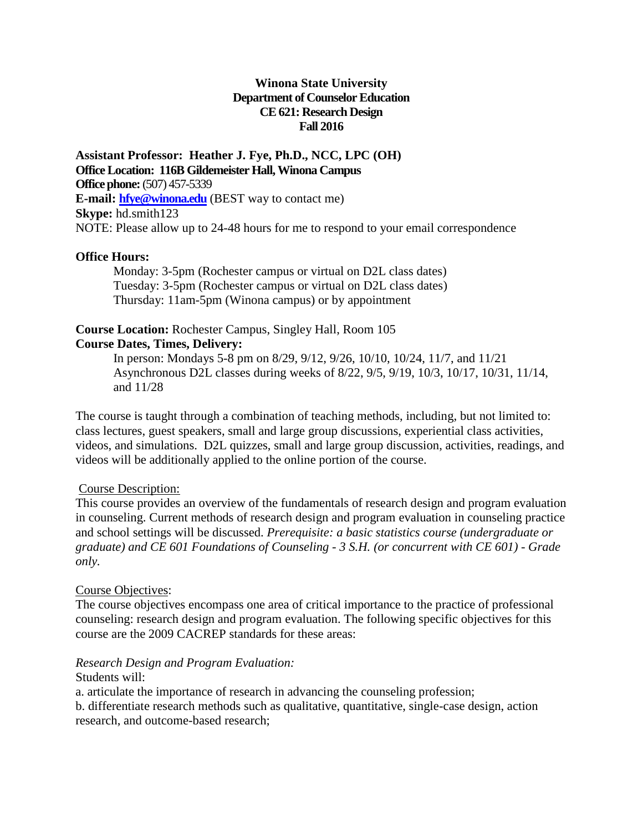#### **Winona State University Department of Counselor Education CE 621: Research Design Fall 2016**

**Assistant Professor: Heather J. Fye, Ph.D., NCC, LPC (OH) Office Location: 116B Gildemeister Hall, Winona Campus Office phone:**(507) 457-5339 **E-mail: [hfye@winona.edu](mailto:hfye@winona.edu)** (BEST way to contact me) **Skype:** hd.smith123 NOTE: Please allow up to 24-48 hours for me to respond to your email correspondence

#### **Office Hours:**

Monday: 3-5pm (Rochester campus or virtual on D2L class dates) Tuesday: 3-5pm (Rochester campus or virtual on D2L class dates) Thursday: 11am-5pm (Winona campus) or by appointment

#### **Course Location:** Rochester Campus, Singley Hall, Room 105 **Course Dates, Times, Delivery:**

In person: Mondays 5-8 pm on 8/29, 9/12, 9/26, 10/10, 10/24, 11/7, and 11/21 Asynchronous D2L classes during weeks of 8/22, 9/5, 9/19, 10/3, 10/17, 10/31, 11/14, and 11/28

The course is taught through a combination of teaching methods, including, but not limited to: class lectures, guest speakers, small and large group discussions, experiential class activities, videos, and simulations. D2L quizzes, small and large group discussion, activities, readings, and videos will be additionally applied to the online portion of the course.

#### Course Description:

This course provides an overview of the fundamentals of research design and program evaluation in counseling. Current methods of research design and program evaluation in counseling practice and school settings will be discussed. *Prerequisite: a basic statistics course (undergraduate or graduate) and CE 601 Foundations of Counseling - 3 S.H. (or concurrent with CE 601) - Grade only.* 

#### Course Objectives:

The course objectives encompass one area of critical importance to the practice of professional counseling: research design and program evaluation. The following specific objectives for this course are the 2009 CACREP standards for these areas:

#### *Research Design and Program Evaluation:*

#### Students will:

a. articulate the importance of research in advancing the counseling profession;

b. differentiate research methods such as qualitative, quantitative, single-case design, action research, and outcome-based research;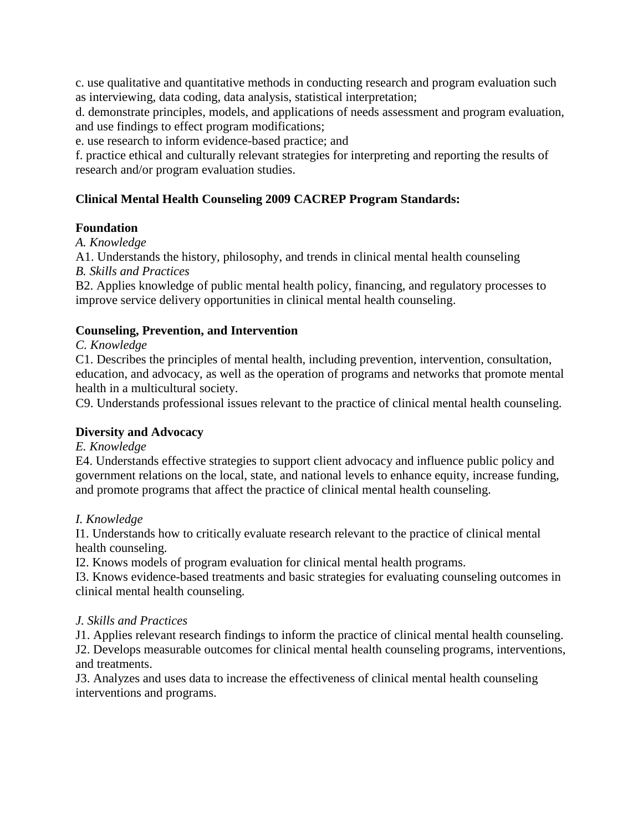c. use qualitative and quantitative methods in conducting research and program evaluation such as interviewing, data coding, data analysis, statistical interpretation;

d. demonstrate principles, models, and applications of needs assessment and program evaluation, and use findings to effect program modifications;

e. use research to inform evidence-based practice; and

f. practice ethical and culturally relevant strategies for interpreting and reporting the results of research and/or program evaluation studies.

# **Clinical Mental Health Counseling 2009 CACREP Program Standards:**

## **Foundation**

*A. Knowledge*

A1. Understands the history, philosophy, and trends in clinical mental health counseling *B. Skills and Practices*

B2. Applies knowledge of public mental health policy, financing, and regulatory processes to improve service delivery opportunities in clinical mental health counseling.

#### **Counseling, Prevention, and Intervention**

*C. Knowledge*

C1. Describes the principles of mental health, including prevention, intervention, consultation, education, and advocacy, as well as the operation of programs and networks that promote mental health in a multicultural society.

C9. Understands professional issues relevant to the practice of clinical mental health counseling.

## **Diversity and Advocacy**

#### *E. Knowledge*

E4. Understands effective strategies to support client advocacy and influence public policy and government relations on the local, state, and national levels to enhance equity, increase funding, and promote programs that affect the practice of clinical mental health counseling.

## *I. Knowledge*

I1. Understands how to critically evaluate research relevant to the practice of clinical mental health counseling.

I2. Knows models of program evaluation for clinical mental health programs.

I3. Knows evidence-based treatments and basic strategies for evaluating counseling outcomes in clinical mental health counseling.

## *J. Skills and Practices*

J1. Applies relevant research findings to inform the practice of clinical mental health counseling. J2. Develops measurable outcomes for clinical mental health counseling programs, interventions, and treatments.

J3. Analyzes and uses data to increase the effectiveness of clinical mental health counseling interventions and programs.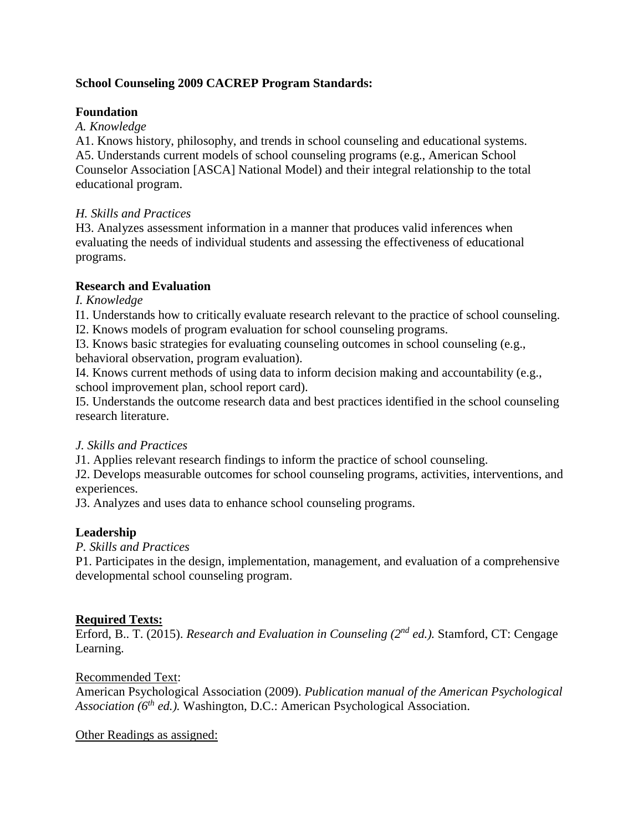## **School Counseling 2009 CACREP Program Standards:**

# **Foundation**

*A. Knowledge*

A1. Knows history, philosophy, and trends in school counseling and educational systems. A5. Understands current models of school counseling programs (e.g., American School Counselor Association [ASCA] National Model) and their integral relationship to the total educational program.

## *H. Skills and Practices*

H3. Analyzes assessment information in a manner that produces valid inferences when evaluating the needs of individual students and assessing the effectiveness of educational programs.

## **Research and Evaluation**

*I. Knowledge*

I1. Understands how to critically evaluate research relevant to the practice of school counseling.

I2. Knows models of program evaluation for school counseling programs.

I3. Knows basic strategies for evaluating counseling outcomes in school counseling (e.g., behavioral observation, program evaluation).

I4. Knows current methods of using data to inform decision making and accountability (e.g., school improvement plan, school report card).

I5. Understands the outcome research data and best practices identified in the school counseling research literature.

# *J. Skills and Practices*

J1. Applies relevant research findings to inform the practice of school counseling.

J2. Develops measurable outcomes for school counseling programs, activities, interventions, and experiences.

J3. Analyzes and uses data to enhance school counseling programs.

# **Leadership**

*P. Skills and Practices*

P1. Participates in the design, implementation, management, and evaluation of a comprehensive developmental school counseling program.

# **Required Texts:**

Erford, B.. T. (2015). *Research and Evaluation in Counseling (2nd ed.).* Stamford, CT: Cengage Learning.

## Recommended Text:

American Psychological Association (2009). *Publication manual of the American Psychological Association (6th ed.).* Washington, D.C.: American Psychological Association.

Other Readings as assigned: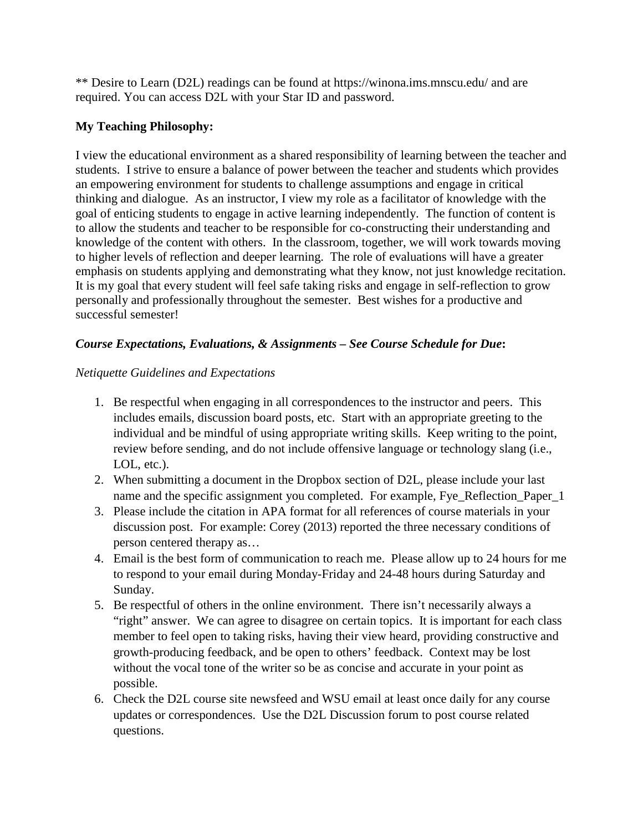\*\* Desire to Learn (D2L) readings can be found at https://winona.ims.mnscu.edu/ and are required. You can access D2L with your Star ID and password.

# **My Teaching Philosophy:**

I view the educational environment as a shared responsibility of learning between the teacher and students. I strive to ensure a balance of power between the teacher and students which provides an empowering environment for students to challenge assumptions and engage in critical thinking and dialogue. As an instructor, I view my role as a facilitator of knowledge with the goal of enticing students to engage in active learning independently. The function of content is to allow the students and teacher to be responsible for co-constructing their understanding and knowledge of the content with others. In the classroom, together, we will work towards moving to higher levels of reflection and deeper learning. The role of evaluations will have a greater emphasis on students applying and demonstrating what they know, not just knowledge recitation. It is my goal that every student will feel safe taking risks and engage in self-reflection to grow personally and professionally throughout the semester. Best wishes for a productive and successful semester!

# *Course Expectations, Evaluations, & Assignments – See Course Schedule for Due***:**

# *Netiquette Guidelines and Expectations*

- 1. Be respectful when engaging in all correspondences to the instructor and peers. This includes emails, discussion board posts, etc. Start with an appropriate greeting to the individual and be mindful of using appropriate writing skills. Keep writing to the point, review before sending, and do not include offensive language or technology slang (i.e., LOL, etc.).
- 2. When submitting a document in the Dropbox section of D2L, please include your last name and the specific assignment you completed. For example, Fye\_Reflection\_Paper\_1
- 3. Please include the citation in APA format for all references of course materials in your discussion post. For example: Corey (2013) reported the three necessary conditions of person centered therapy as…
- 4. Email is the best form of communication to reach me. Please allow up to 24 hours for me to respond to your email during Monday-Friday and 24-48 hours during Saturday and Sunday.
- 5. Be respectful of others in the online environment. There isn't necessarily always a "right" answer. We can agree to disagree on certain topics. It is important for each class member to feel open to taking risks, having their view heard, providing constructive and growth-producing feedback, and be open to others' feedback. Context may be lost without the vocal tone of the writer so be as concise and accurate in your point as possible.
- 6. Check the D2L course site newsfeed and WSU email at least once daily for any course updates or correspondences. Use the D2L Discussion forum to post course related questions.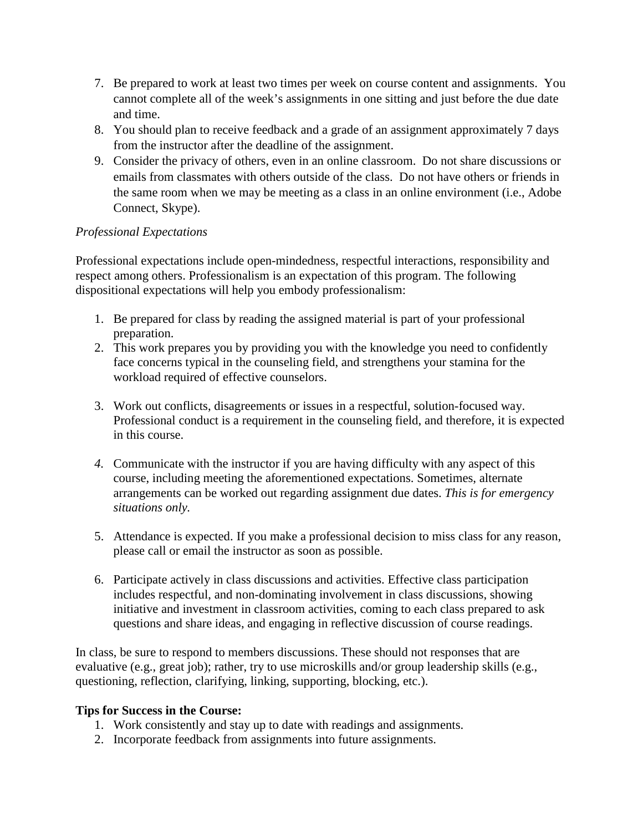- 7. Be prepared to work at least two times per week on course content and assignments. You cannot complete all of the week's assignments in one sitting and just before the due date and time.
- 8. You should plan to receive feedback and a grade of an assignment approximately 7 days from the instructor after the deadline of the assignment.
- 9. Consider the privacy of others, even in an online classroom. Do not share discussions or emails from classmates with others outside of the class. Do not have others or friends in the same room when we may be meeting as a class in an online environment (i.e., Adobe Connect, Skype).

## *Professional Expectations*

Professional expectations include open-mindedness, respectful interactions, responsibility and respect among others. Professionalism is an expectation of this program. The following dispositional expectations will help you embody professionalism:

- 1. Be prepared for class by reading the assigned material is part of your professional preparation.
- 2. This work prepares you by providing you with the knowledge you need to confidently face concerns typical in the counseling field, and strengthens your stamina for the workload required of effective counselors.
- 3. Work out conflicts, disagreements or issues in a respectful, solution-focused way. Professional conduct is a requirement in the counseling field, and therefore, it is expected in this course.
- *4.* Communicate with the instructor if you are having difficulty with any aspect of this course, including meeting the aforementioned expectations. Sometimes, alternate arrangements can be worked out regarding assignment due dates. *This is for emergency situations only.*
- 5. Attendance is expected. If you make a professional decision to miss class for any reason, please call or email the instructor as soon as possible.
- 6. Participate actively in class discussions and activities. Effective class participation includes respectful, and non-dominating involvement in class discussions, showing initiative and investment in classroom activities, coming to each class prepared to ask questions and share ideas, and engaging in reflective discussion of course readings.

In class, be sure to respond to members discussions. These should not responses that are evaluative (e.g., great job); rather, try to use microskills and/or group leadership skills (e.g., questioning, reflection, clarifying, linking, supporting, blocking, etc.).

## **Tips for Success in the Course:**

- 1. Work consistently and stay up to date with readings and assignments.
- 2. Incorporate feedback from assignments into future assignments.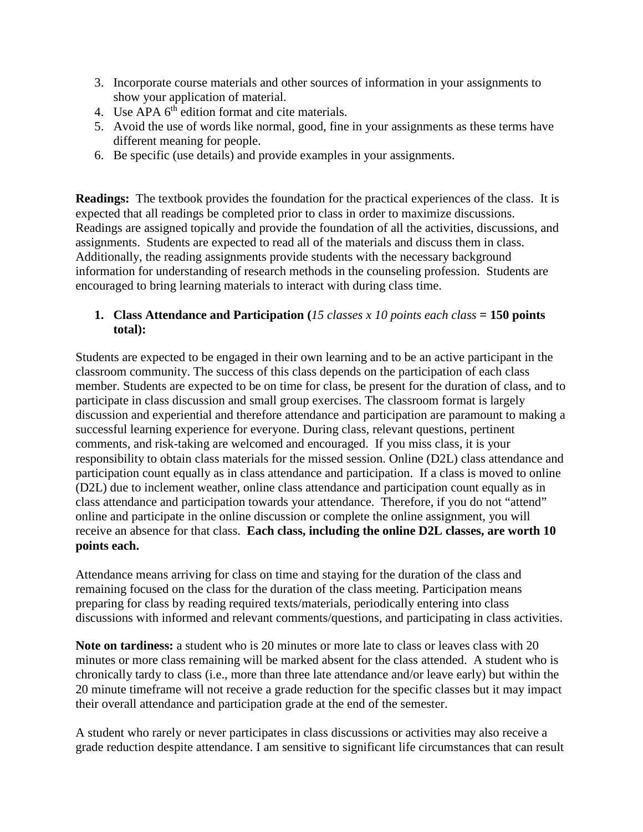- 3. Incorporate course materials and other sources of information in your assignments to show your application of material.
- 4. Use APA 6<sup>th</sup> edition format and cite materials.
- 5. Avoid the use of words like normal, good, fine in your assignments as these terms have different meaning for people.
- 6. Be specific (use details) and provide examples in your assignments.

**Readings:** The textbook provides the foundation for the practical experiences of the class. It is expected that all readings be completed prior to class in order to maximize discussions. Readings are assigned topically and provide the foundation of all the activities, discussions, and assignments. Students are expected to read all of the materials and discuss them in class. Additionally, the reading assignments provide students with the necessary background information for understanding of research methods in the counseling profession. Students are encouraged to bring learning materials to interact with during class time.

## **1. Class Attendance and Participation (***15 classes x 10 points each class* **= 150 points total):**

Students are expected to be engaged in their own learning and to be an active participant in the classroom community. The success of this class depends on the participation of each class member. Students are expected to be on time for class, be present for the duration of class, and to participate in class discussion and small group exercises. The classroom format is largely discussion and experiential and therefore attendance and participation are paramount to making a successful learning experience for everyone. During class, relevant questions, pertinent comments, and risk-taking are welcomed and encouraged. If you miss class, it is your responsibility to obtain class materials for the missed session. Online (D2L) class attendance and participation count equally as in class attendance and participation. If a class is moved to online (D2L) due to inclement weather, online class attendance and participation count equally as in class attendance and participation towards your attendance. Therefore, if you do not "attend" online and participate in the online discussion or complete the online assignment, you will receive an absence for that class. **Each class, including the online D2L classes, are worth 10 points each.** 

Attendance means arriving for class on time and staying for the duration of the class and remaining focused on the class for the duration of the class meeting. Participation means preparing for class by reading required texts/materials, periodically entering into class discussions with informed and relevant comments/questions, and participating in class activities.

**Note on tardiness:** a student who is 20 minutes or more late to class or leaves class with 20 minutes or more class remaining will be marked absent for the class attended. A student who is chronically tardy to class (i.e., more than three late attendance and/or leave early) but within the 20 minute timeframe will not receive a grade reduction for the specific classes but it may impact their overall attendance and participation grade at the end of the semester.

A student who rarely or never participates in class discussions or activities may also receive a grade reduction despite attendance. I am sensitive to significant life circumstances that can result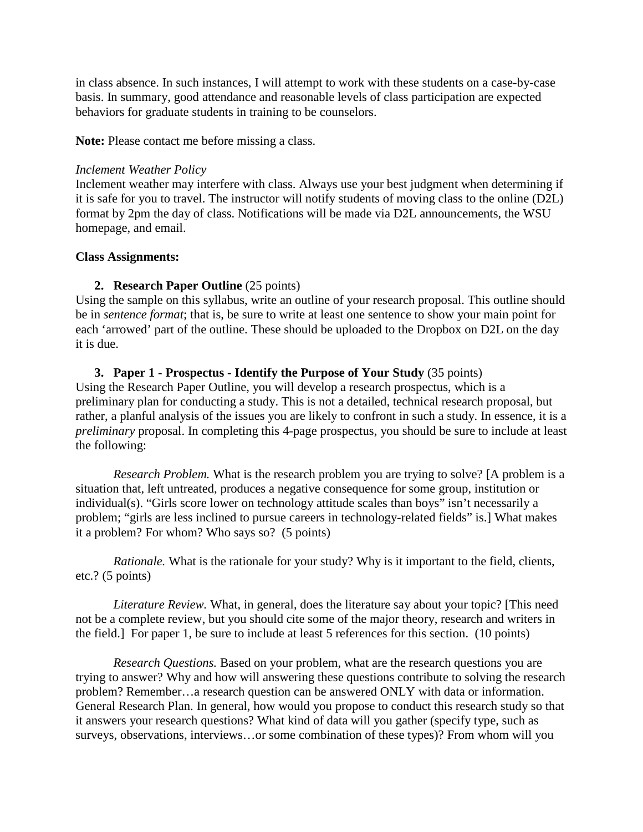in class absence. In such instances, I will attempt to work with these students on a case-by-case basis. In summary, good attendance and reasonable levels of class participation are expected behaviors for graduate students in training to be counselors.

**Note:** Please contact me before missing a class.

#### *Inclement Weather Policy*

Inclement weather may interfere with class. Always use your best judgment when determining if it is safe for you to travel. The instructor will notify students of moving class to the online (D2L) format by 2pm the day of class. Notifications will be made via D2L announcements, the WSU homepage, and email.

#### **Class Assignments:**

#### **2. Research Paper Outline** (25 points)

Using the sample on this syllabus, write an outline of your research proposal. This outline should be in *sentence format*; that is, be sure to write at least one sentence to show your main point for each 'arrowed' part of the outline. These should be uploaded to the Dropbox on D2L on the day it is due.

#### **3. Paper 1 - Prospectus - Identify the Purpose of Your Study** (35 points)

Using the Research Paper Outline, you will develop a research prospectus, which is a preliminary plan for conducting a study. This is not a detailed, technical research proposal, but rather, a planful analysis of the issues you are likely to confront in such a study. In essence, it is a *preliminary* proposal. In completing this 4-page prospectus, you should be sure to include at least the following:

*Research Problem.* What is the research problem you are trying to solve? [A problem is a situation that, left untreated, produces a negative consequence for some group, institution or individual(s). "Girls score lower on technology attitude scales than boys" isn't necessarily a problem; "girls are less inclined to pursue careers in technology-related fields" is.] What makes it a problem? For whom? Who says so? (5 points)

*Rationale.* What is the rationale for your study? Why is it important to the field, clients, etc.? (5 points)

*Literature Review.* What, in general, does the literature say about your topic? [This need not be a complete review, but you should cite some of the major theory, research and writers in the field.] For paper 1, be sure to include at least 5 references for this section. (10 points)

*Research Questions.* Based on your problem, what are the research questions you are trying to answer? Why and how will answering these questions contribute to solving the research problem? Remember…a research question can be answered ONLY with data or information. General Research Plan. In general, how would you propose to conduct this research study so that it answers your research questions? What kind of data will you gather (specify type, such as surveys, observations, interviews…or some combination of these types)? From whom will you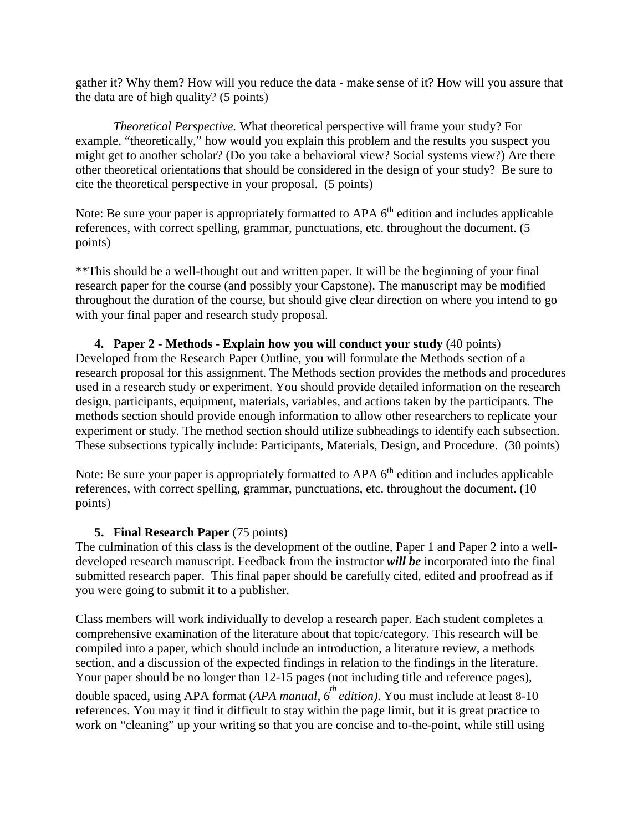gather it? Why them? How will you reduce the data - make sense of it? How will you assure that the data are of high quality? (5 points)

*Theoretical Perspective.* What theoretical perspective will frame your study? For example, "theoretically," how would you explain this problem and the results you suspect you might get to another scholar? (Do you take a behavioral view? Social systems view?) Are there other theoretical orientations that should be considered in the design of your study? Be sure to cite the theoretical perspective in your proposal. (5 points)

Note: Be sure your paper is appropriately formatted to APA  $6<sup>th</sup>$  edition and includes applicable references, with correct spelling, grammar, punctuations, etc. throughout the document. (5 points)

\*\*This should be a well-thought out and written paper. It will be the beginning of your final research paper for the course (and possibly your Capstone). The manuscript may be modified throughout the duration of the course, but should give clear direction on where you intend to go with your final paper and research study proposal.

#### **4. Paper 2 - Methods - Explain how you will conduct your study** (40 points)

Developed from the Research Paper Outline, you will formulate the Methods section of a research proposal for this assignment. The Methods section provides the methods and procedures used in a research study or experiment. You should provide detailed information on the research design, participants, equipment, materials, variables, and actions taken by the participants. The methods section should provide enough information to allow other researchers to replicate your experiment or study. The method section should utilize subheadings to identify each subsection. These subsections typically include: Participants, Materials, Design, and Procedure. (30 points)

Note: Be sure your paper is appropriately formatted to APA 6<sup>th</sup> edition and includes applicable references, with correct spelling, grammar, punctuations, etc. throughout the document. (10 points)

#### **5. Final Research Paper** (75 points)

The culmination of this class is the development of the outline, Paper 1 and Paper 2 into a welldeveloped research manuscript. Feedback from the instructor *will be* incorporated into the final submitted research paper. This final paper should be carefully cited, edited and proofread as if you were going to submit it to a publisher.

Class members will work individually to develop a research paper. Each student completes a comprehensive examination of the literature about that topic/category. This research will be compiled into a paper, which should include an introduction, a literature review, a methods section, and a discussion of the expected findings in relation to the findings in the literature. Your paper should be no longer than 12-15 pages (not including title and reference pages), double spaced, using APA format (*APA manual, 6 th edition)*. You must include at least 8-10 references*.* You may it find it difficult to stay within the page limit, but it is great practice to work on "cleaning" up your writing so that you are concise and to-the-point, while still using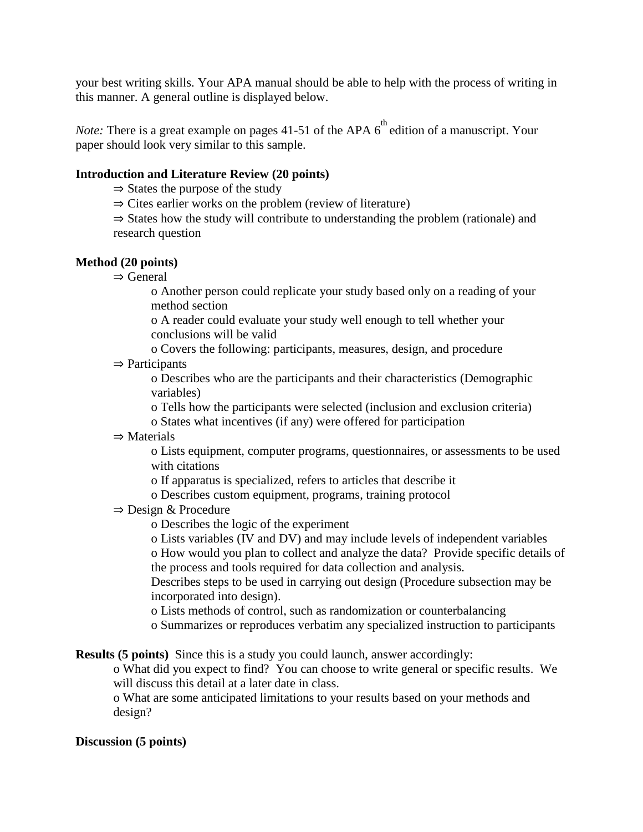your best writing skills. Your APA manual should be able to help with the process of writing in this manner. A general outline is displayed below.

*Note:* There is a great example on pages 41-51 of the APA  $6^{\circ}$  edition of a manuscript. Your paper should look very similar to this sample.

#### **Introduction and Literature Review (20 points)**

- ⇒ States the purpose of the study
- $\Rightarrow$  Cites earlier works on the problem (review of literature)

⇒ States how the study will contribute to understanding the problem (rationale) and research question

#### **Method (20 points)**

⇒ General

o Another person could replicate your study based only on a reading of your method section

o A reader could evaluate your study well enough to tell whether your conclusions will be valid

o Covers the following: participants, measures, design, and procedure

 $\Rightarrow$  Participants

o Describes who are the participants and their characteristics (Demographic variables)

o Tells how the participants were selected (inclusion and exclusion criteria)

- o States what incentives (if any) were offered for participation
- ⇒ Materials

o Lists equipment, computer programs, questionnaires, or assessments to be used with citations

- o If apparatus is specialized, refers to articles that describe it
- o Describes custom equipment, programs, training protocol
- ⇒ Design & Procedure
	- o Describes the logic of the experiment

o Lists variables (IV and DV) and may include levels of independent variables o How would you plan to collect and analyze the data? Provide specific details of the process and tools required for data collection and analysis.

Describes steps to be used in carrying out design (Procedure subsection may be incorporated into design).

o Lists methods of control, such as randomization or counterbalancing

o Summarizes or reproduces verbatim any specialized instruction to participants

**Results (5 points)** Since this is a study you could launch, answer accordingly:

o What did you expect to find? You can choose to write general or specific results. We will discuss this detail at a later date in class.

o What are some anticipated limitations to your results based on your methods and design?

#### **Discussion (5 points)**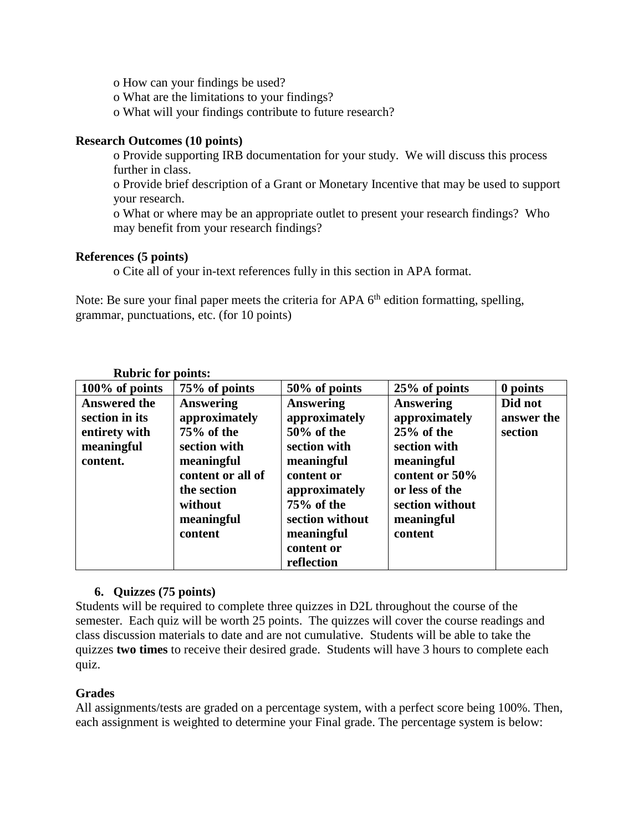o How can your findings be used?

o What are the limitations to your findings?

o What will your findings contribute to future research?

#### **Research Outcomes (10 points)**

o Provide supporting IRB documentation for your study. We will discuss this process further in class.

o Provide brief description of a Grant or Monetary Incentive that may be used to support your research.

o What or where may be an appropriate outlet to present your research findings? Who may benefit from your research findings?

#### **References (5 points)**

o Cite all of your in-text references fully in this section in APA format.

Note: Be sure your final paper meets the criteria for APA  $6<sup>th</sup>$  edition formatting, spelling, grammar, punctuations, etc. (for 10 points)

| KUDLIC IQL<br>points:                                                            |                                                                                                                                                       |                                                                                                                                                                                            |                                                                                                                                                                 |                                  |
|----------------------------------------------------------------------------------|-------------------------------------------------------------------------------------------------------------------------------------------------------|--------------------------------------------------------------------------------------------------------------------------------------------------------------------------------------------|-----------------------------------------------------------------------------------------------------------------------------------------------------------------|----------------------------------|
| $100\%$ of points                                                                | 75% of points                                                                                                                                         | 50% of points                                                                                                                                                                              | 25% of points                                                                                                                                                   | 0 points                         |
| <b>Answered the</b><br>section in its<br>entirety with<br>meaningful<br>content. | <b>Answering</b><br>approximately<br>75% of the<br>section with<br>meaningful<br>content or all of<br>the section<br>without<br>meaningful<br>content | <b>Answering</b><br>approximately<br>$50\%$ of the<br>section with<br>meaningful<br>content or<br>approximately<br>75% of the<br>section without<br>meaningful<br>content or<br>reflection | <b>Answering</b><br>approximately<br>$25%$ of the<br>section with<br>meaningful<br>content or 50%<br>or less of the<br>section without<br>meaningful<br>content | Did not<br>answer the<br>section |

# **Rubric for points:**

## **6. Quizzes (75 points)**

Students will be required to complete three quizzes in D2L throughout the course of the semester. Each quiz will be worth 25 points. The quizzes will cover the course readings and class discussion materials to date and are not cumulative. Students will be able to take the quizzes **two times** to receive their desired grade. Students will have 3 hours to complete each quiz.

## **Grades**

All assignments/tests are graded on a percentage system, with a perfect score being 100%. Then, each assignment is weighted to determine your Final grade. The percentage system is below: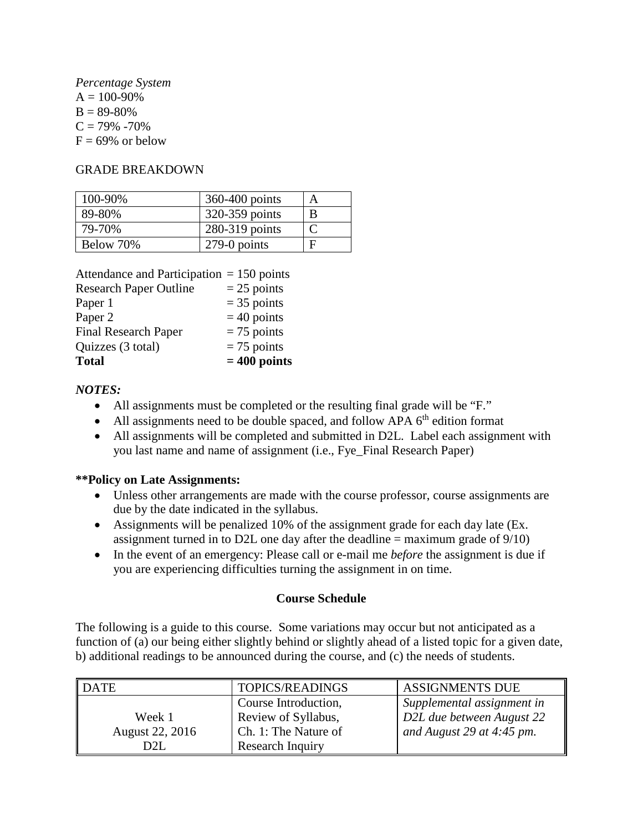*Percentage System*   $A = 100 - 90\%$  $B = 89-80%$  $C = 79\% - 70\%$  $F = 69\%$  or below

#### GRADE BREAKDOWN

| 100-90%   | 360-400 points | A |
|-----------|----------------|---|
| 89-80%    | 320-359 points | B |
| 79-70%    | 280-319 points |   |
| Below 70% | 279-0 points   | F |

| Attendance and Participation $= 150$ points |                |
|---------------------------------------------|----------------|
| <b>Research Paper Outline</b>               | $= 25$ points  |
| Paper 1                                     | $=$ 35 points  |
| Paper <sub>2</sub>                          | $=$ 40 points  |
| <b>Final Research Paper</b>                 | $= 75$ points  |
| Quizzes (3 total)                           | $= 75$ points  |
| <b>Total</b>                                | $= 400$ points |

## *NOTES:*

- All assignments must be completed or the resulting final grade will be "F."
- All assignments need to be double spaced, and follow APA  $6<sup>th</sup>$  edition format
- All assignments will be completed and submitted in D2L. Label each assignment with you last name and name of assignment (i.e., Fye\_Final Research Paper)

## **\*\*Policy on Late Assignments:**

- Unless other arrangements are made with the course professor, course assignments are due by the date indicated in the syllabus.
- Assignments will be penalized 10% of the assignment grade for each day late (Ex. assignment turned in to D2L one day after the deadline  $=$  maximum grade of  $9/10$ )
- In the event of an emergency: Please call or e-mail me *before* the assignment is due if you are experiencing difficulties turning the assignment in on time.

## **Course Schedule**

The following is a guide to this course. Some variations may occur but not anticipated as a function of (a) our being either slightly behind or slightly ahead of a listed topic for a given date, b) additional readings to be announced during the course, and (c) the needs of students.

| <b>DATE</b>     | TOPICS/READINGS      | <b>ASSIGNMENTS DUE</b>     |
|-----------------|----------------------|----------------------------|
|                 | Course Introduction, | Supplemental assignment in |
| Week 1          | Review of Syllabus,  | D2L due between August 22  |
| August 22, 2016 | Ch. 1: The Nature of | and August 29 at 4:45 pm.  |
| D2L             | Research Inquiry     |                            |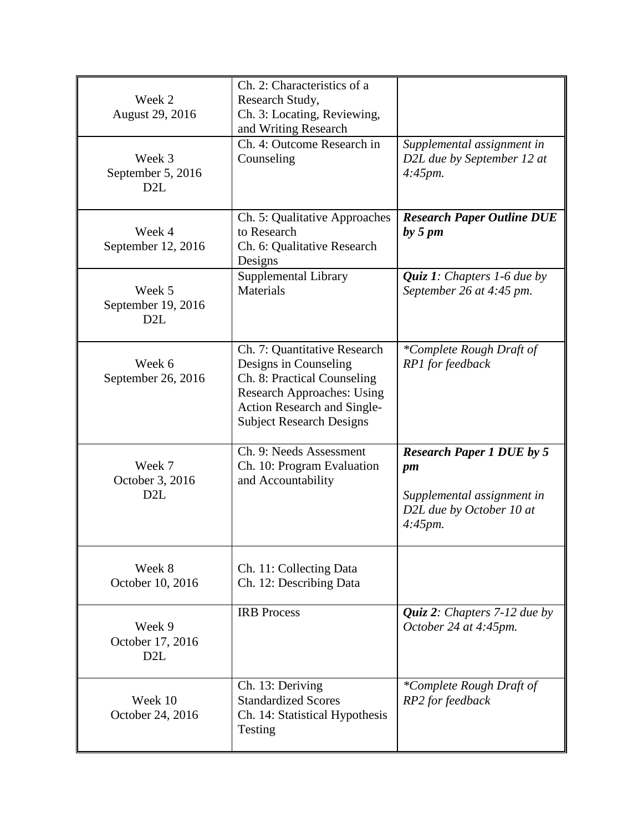| Week 2<br>August 29, 2016           | Ch. 2: Characteristics of a<br>Research Study,<br>Ch. 3: Locating, Reviewing,<br>and Writing Research                                                                                              |                                                                                                                       |
|-------------------------------------|----------------------------------------------------------------------------------------------------------------------------------------------------------------------------------------------------|-----------------------------------------------------------------------------------------------------------------------|
| Week 3<br>September 5, 2016<br>D2L  | Ch. 4: Outcome Research in<br>Counseling                                                                                                                                                           | Supplemental assignment in<br>D2L due by September 12 at<br>$4:45$ <i>pm.</i>                                         |
| Week 4<br>September 12, 2016        | Ch. 5: Qualitative Approaches<br>to Research<br>Ch. 6: Qualitative Research<br>Designs                                                                                                             | <b>Research Paper Outline DUE</b><br>by 5 pm                                                                          |
| Week 5<br>September 19, 2016<br>D2L | Supplemental Library<br>Materials                                                                                                                                                                  | <i>Quiz 1:</i> Chapters 1-6 due by<br>September 26 at 4:45 pm.                                                        |
| Week 6<br>September 26, 2016        | Ch. 7: Quantitative Research<br>Designs in Counseling<br>Ch. 8: Practical Counseling<br><b>Research Approaches: Using</b><br><b>Action Research and Single-</b><br><b>Subject Research Designs</b> | *Complete Rough Draft of<br>RP1 for feedback                                                                          |
| Week 7<br>October 3, 2016<br>D2L    | Ch. 9: Needs Assessment<br>Ch. 10: Program Evaluation<br>and Accountability                                                                                                                        | <b>Research Paper 1 DUE by 5</b><br>pm<br>Supplemental assignment in<br>D2L due by October 10 at<br>$4:45$ <i>pm.</i> |
| Week 8<br>October 10, 2016          | Ch. 11: Collecting Data<br>Ch. 12: Describing Data                                                                                                                                                 |                                                                                                                       |
| Week 9<br>October 17, 2016<br>D2L   | <b>IRB</b> Process                                                                                                                                                                                 | <i>Quiz 2: Chapters 7-12 due by</i><br>October 24 at 4:45pm.                                                          |
| Week 10<br>October 24, 2016         | Ch. 13: Deriving<br><b>Standardized Scores</b><br>Ch. 14: Statistical Hypothesis<br>Testing                                                                                                        | *Complete Rough Draft of<br>RP2 for feedback                                                                          |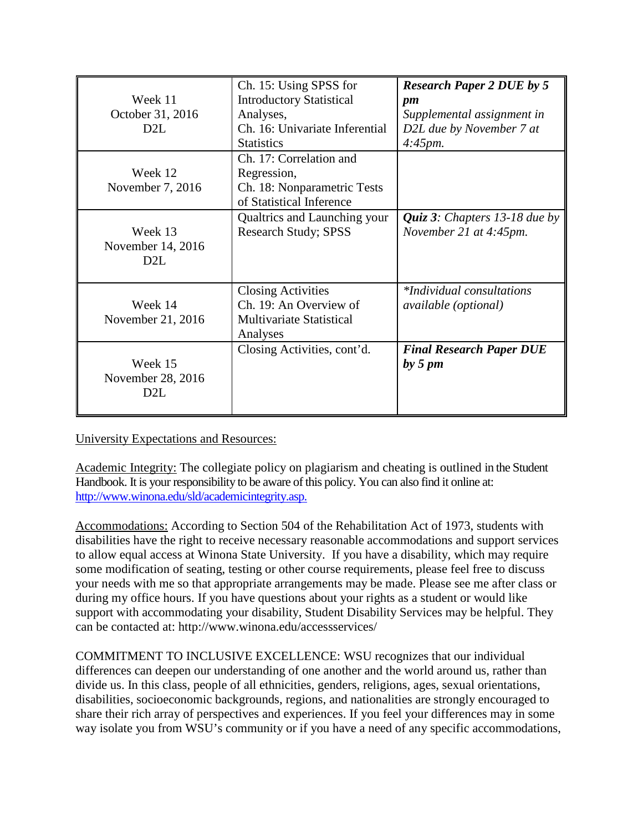| Week 11<br>October 31, 2016<br>D <sub>2</sub> L  | Ch. 15: Using SPSS for<br><b>Introductory Statistical</b><br>Analyses,<br>Ch. 16: Univariate Inferential<br><b>Statistics</b> | <b>Research Paper 2 DUE by 5</b><br>pm<br>Supplemental assignment in<br>D2L due by November 7 at<br>$4:45$ pm. |
|--------------------------------------------------|-------------------------------------------------------------------------------------------------------------------------------|----------------------------------------------------------------------------------------------------------------|
| Week 12<br>November 7, 2016                      | Ch. 17: Correlation and<br>Regression,<br>Ch. 18: Nonparametric Tests<br>of Statistical Inference                             |                                                                                                                |
| Week 13<br>November 14, 2016<br>D <sub>2</sub> L | Qualtrics and Launching your<br><b>Research Study; SPSS</b>                                                                   | <i>Quiz 3: Chapters 13-18 due by</i><br>November 21 at 4:45pm.                                                 |
| Week 14<br>November 21, 2016                     | <b>Closing Activities</b><br>Ch. 19: An Overview of<br><b>Multivariate Statistical</b><br>Analyses                            | <i>*Individual consultations</i><br><i>available</i> ( <i>optional</i> )                                       |
| Week 15<br>November 28, 2016<br>D2L              | Closing Activities, cont'd.                                                                                                   | <b>Final Research Paper DUE</b><br>by 5 pm                                                                     |

University Expectations and Resources:

Academic Integrity: The collegiate policy on plagiarism and cheating is outlined in the Student Handbook. It is your responsibility to be aware of this policy. You can also find it online at: [http://www.winona.edu/sld/academicintegrity.asp.](http://www.winona.edu/sld/academicintegrity.asp)

Accommodations: According to Section 504 of the Rehabilitation Act of 1973, students with disabilities have the right to receive necessary reasonable accommodations and support services to allow equal access at Winona State University. If you have a disability, which may require some modification of seating, testing or other course requirements, please feel free to discuss your needs with me so that appropriate arrangements may be made. Please see me after class or during my office hours. If you have questions about your rights as a student or would like support with accommodating your disability, Student Disability Services may be helpful. They can be contacted at: http://www.winona.edu/accessservices/

COMMITMENT TO INCLUSIVE EXCELLENCE: WSU recognizes that our individual differences can deepen our understanding of one another and the world around us, rather than divide us. In this class, people of all ethnicities, genders, religions, ages, sexual orientations, disabilities, socioeconomic backgrounds, regions, and nationalities are strongly encouraged to share their rich array of perspectives and experiences. If you feel your differences may in some way isolate you from WSU's community or if you have a need of any specific accommodations,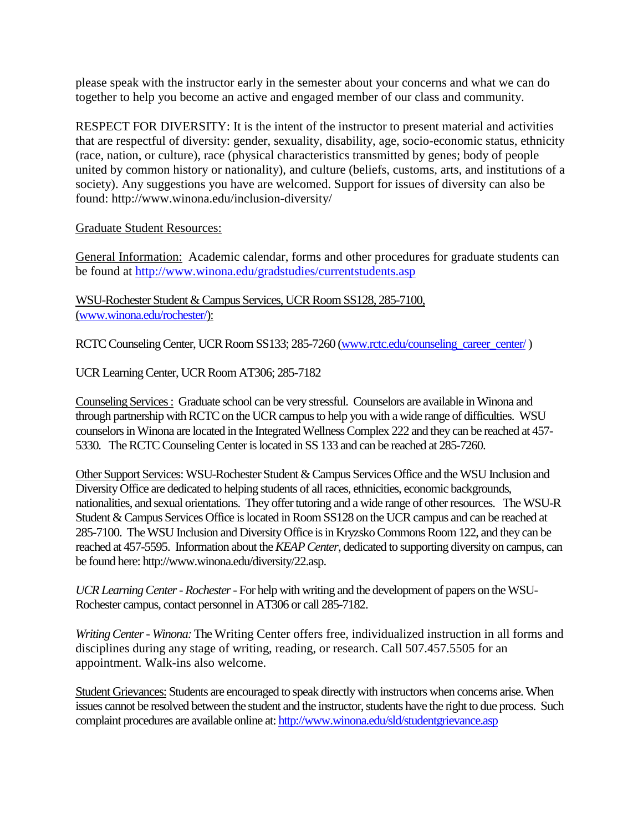please speak with the instructor early in the semester about your concerns and what we can do together to help you become an active and engaged member of our class and community.

RESPECT FOR DIVERSITY: It is the intent of the instructor to present material and activities that are respectful of diversity: gender, sexuality, disability, age, socio-economic status, ethnicity (race, nation, or culture), race (physical characteristics transmitted by genes; body of people united by common history or nationality), and culture (beliefs, customs, arts, and institutions of a society). Any suggestions you have are welcomed. Support for issues of diversity can also be found: http://www.winona.edu/inclusion-diversity/

#### Graduate Student Resources:

General Information: Academic calendar, forms and other procedures for graduate students can be found at<http://www.winona.edu/gradstudies/currentstudents.asp>

WSU-Rochester Student & Campus Services, UCR Room SS128, 285-7100, [\(www.winona.edu/rochester/\)](http://www.winona.edu/rochester/):

RCTC Counseling Center, UCR Room SS133; 285-7260 [\(www.rctc.edu/counseling\\_career\\_center/](http://www.rctc.edu/counseling_career_center/))

UCR Learning Center, UCR Room AT306; 285-7182

Counseling Services : Graduate school can be very stressful. Counselors are available in Winona and through partnership with RCTC on the UCR campus to help you with a wide range of difficulties. WSU counselors in Winona are located in the Integrated Wellness Complex 222 and they can be reached at 457- 5330. The RCTC Counseling Center is located in SS 133 and can be reached at 285-7260.

Other Support Services: WSU-Rochester Student & Campus Services Office and the WSU Inclusion and Diversity Office are dedicated to helping students of all races, ethnicities, economic backgrounds, nationalities, and sexual orientations. They offer tutoring and a wide range of other resources. The WSU-R Student & Campus Services Office is located in Room SS128 on the UCR campus and can be reached at 285-7100. The WSU Inclusion and Diversity Office is in Kryzsko Commons Room 122, and they can be reached at 457-5595. Information about the *KEAP Center*, dedicated to supporting diversity on campus, can be found here: http://www.winona.edu/diversity/22.asp.

*UCR Learning Center - Rochester*- For help with writing and the development of papers on the WSU-Rochester campus, contact personnel in AT306 or call 285-7182.

*Writing Center - Winona:* The Writing Center offers free, individualized instruction in all forms and disciplines during any stage of writing, reading, or research. Call 507.457.5505 for an appointment. Walk-ins also welcome.

Student Grievances: Students are encouraged to speak directly with instructors when concerns arise. When issues cannot be resolved between the student and the instructor, students have the right to due process. Such complaint procedures are available online at[: http://www.winona.edu/sld/studentgrievance.asp](http://www.winona.edu/sld/studentgrievance.asp)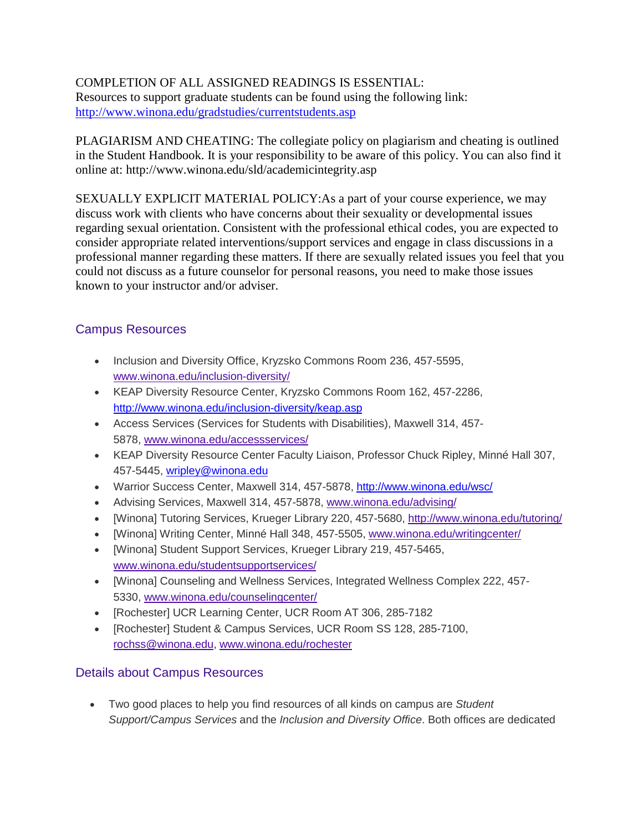# COMPLETION OF ALL ASSIGNED READINGS IS ESSENTIAL:

Resources to support graduate students can be found using the following link: <http://www.winona.edu/gradstudies/currentstudents.asp>

PLAGIARISM AND CHEATING: The collegiate policy on plagiarism and cheating is outlined in the Student Handbook. It is your responsibility to be aware of this policy. You can also find it online at: http://www.winona.edu/sld/academicintegrity.asp

SEXUALLY EXPLICIT MATERIAL POLICY:As a part of your course experience, we may discuss work with clients who have concerns about their sexuality or developmental issues regarding sexual orientation. Consistent with the professional ethical codes, you are expected to consider appropriate related interventions/support services and engage in class discussions in a professional manner regarding these matters. If there are sexually related issues you feel that you could not discuss as a future counselor for personal reasons, you need to make those issues known to your instructor and/or adviser.

# Campus Resources

- Inclusion and Diversity Office, Kryzsko Commons Room 236, 457-5595, [www.winona.edu/inclusion-diversity/](http://www.winona.edu/inclusion-diversity/)
- KEAP Diversity Resource Center, Kryzsko Commons Room 162, 457-2286, <http://www.winona.edu/inclusion-diversity/keap.asp>
- Access Services (Services for Students with Disabilities), Maxwell 314, 457- 5878, [www.winona.edu/accessservices/](http://www.winona.edu/accessservices/)
- KEAP Diversity Resource Center Faculty Liaison, Professor Chuck Ripley, Minné Hall 307, 457-5445, wripley@winona.edu
- Warrior Success Center, Maxwell 314, 457-5878,<http://www.winona.edu/wsc/>
- Advising Services, Maxwell 314, 457-5878, [www.winona.edu/advising/](http://www.winona.edu/advising/)
- [Winona] Tutoring Services, Krueger Library 220, 457-5680,<http://www.winona.edu/tutoring/>
- [Winona] Writing Center, Minné Hall 348, 457-5505, [www.winona.edu/writingcenter/](http://www.winona.edu/writingcenter/)
- [Winona] Student Support Services, Krueger Library 219, 457-5465, [www.winona.edu/studentsupportservices/](http://www.winona.edu/studentsupportservices/)
- [Winona] Counseling and Wellness Services, Integrated Wellness Complex 222, 457- 5330, [www.winona.edu/counselingcenter/](http://www.winona.edu/counselingcenter/)
- [Rochester] UCR Learning Center, UCR Room AT 306, 285-7182
- [Rochester] Student & Campus Services, UCR Room SS 128, 285-7100, [rochss@winona.edu,](mailto:rochss@winona.edu) [www.winona.edu/rochester](http://www.winona.edu/rochester)

# Details about Campus Resources

• Two good places to help you find resources of all kinds on campus are *Student Support/Campus Services* and the *Inclusion and Diversity Office*. Both offices are dedicated